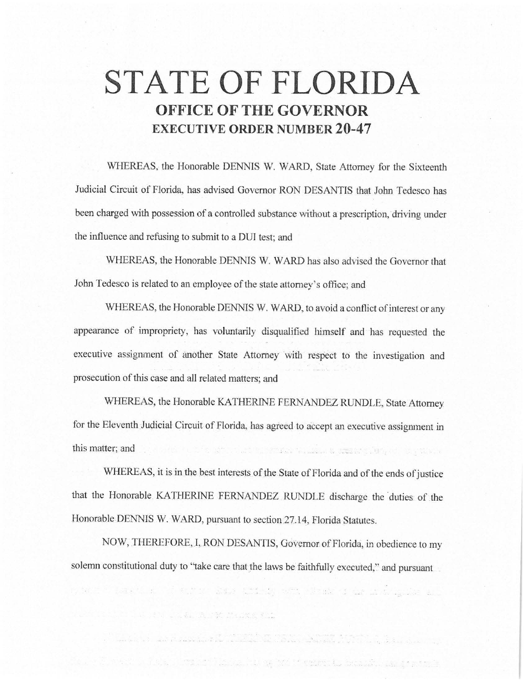# **STATE OF FLORIDA OFFICE OF THE GOVERNOR EXECUTIVE ORDER NUMBER 20-47**

WHEREAS, the Honorable DENNIS W. WARD, State Attorney for the Sixteenth Judicial Circuit of Florida, has advised Governor RON DESANTIS that John Tedesco has been charged with possession of a controlled substance without a prescription, driving under the influence and refusing to submit to a DUI test; and

WHEREAS, the Honorable DENNIS W. WARD has also advised the Governor that John Tedesco is related to an employee of the state attorney's office; and

WHEREAS, the Honorable DENNIS W. WARD, to avoid a conflict of interest or any appearance of impropriety, has voluntarily disqualified himself and has requested the executive assignment of another State Attorney with respect to the investigation and prosecution of this case and all related matters; and

WHEREAS, the Honorable KATHERINE FERNANDEZ RUNDLE, State Attorney for the Eleventh Judicial Circuit of Florida, has agreed to accept an executive assignment in this matter; and state and the state of the state in the state of the state of the state of the state of

WHEREAS, it is in the best interests of the State of Florida and of the ends of justice that the Honorable KATHERINE FERNANDEZ RUNDLE discharge the duties of the Honorable DENNIS W. WARD, pursuant to section 27.14, Florida Statutes.

NOW, THEREFORE, I, RON DESANTIS, Governor of Florida, in obedience to my solemn constitutional duty to "take care that the laws be faithfully executed," and pursuant

n, the first part of the control and the second part of the second part of the second control to a

**Market College Bank Streets State**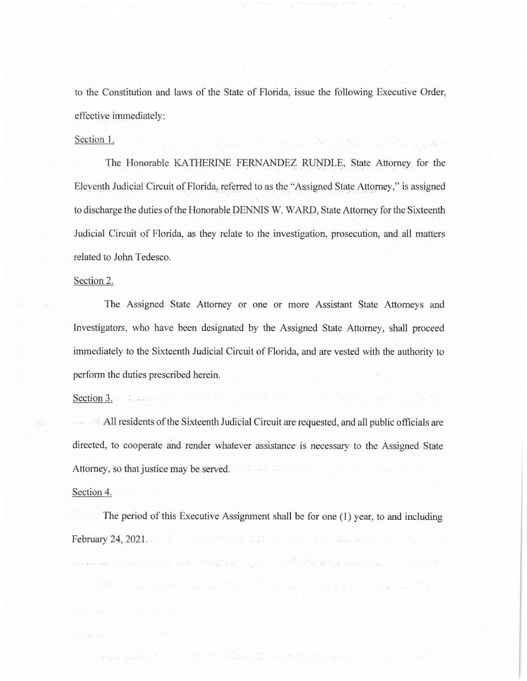to the Constitution and laws of the State of Florida, issue the following Executive Order, effective immediately:

The U.S. Companies of the Company Professor and the Company

#### Section I.

The Honorable KATHERINE FERNANDEZ RUNDLE, State Attorney for the Eleventh Judicial Circuit of Florida, referred to as the \_"Assigned State Attorney," is assigned to discharge the duties of the Honorable DENNIS W. WARD, State Attorney for the Sixteenth Judicial Circuit of Florida, as they relate to the investigation, prosecution, and all matters related to John Tedesco.

## Section 2.

The Assigned State Attorney or one or more Assistant State Attorneys and Investigators, who have been designated by the Assigned State Attorney, shall proceed immediately to the Sixteenth Judicial Circuit of Florida, and are vested with the authority to perform the duties prescribed herein.

#### Section 3.

 $\blacksquare$  All residents of the Sixteenth Judicial Circuit are requested, and all public officials are directed, to cooperate and render whatever assistance is necessary to the Assigned State Attorney, so that justice may be served.

## Section 4.

The period of this Executive Assignment shall be for one (1) year, to and including February 24, 2021 . .

ng katika ng mga mga kalawigan ng mga kalawigan.

- I then the study in the wind was made to the state of the